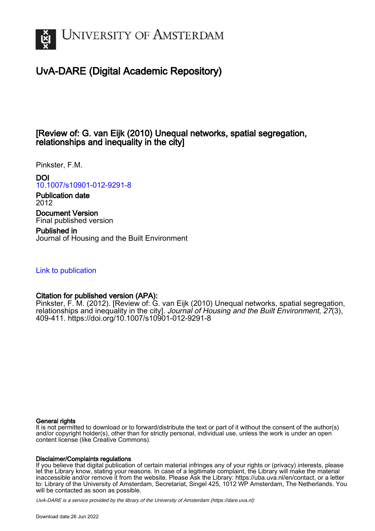

# UvA-DARE (Digital Academic Repository)

# [Review of: G. van Eijk (2010) Unequal networks, spatial segregation, relationships and inequality in the city]

Pinkster, F.M.

## DOI

[10.1007/s10901-012-9291-8](https://doi.org/10.1007/s10901-012-9291-8)

Publication date 2012

Document Version Final published version

Published in Journal of Housing and the Built Environment

### [Link to publication](https://dare.uva.nl/personal/pure/en/publications/review-of-g-van-eijk-2010-unequal-networks-spatial-segregation-relationships-and-inequality-in-the-city(532c3f27-4965-4454-9882-fbaa6914f035).html)

### Citation for published version (APA):

Pinkster, F. M. (2012). [Review of: G. van Eijk (2010) Unequal networks, spatial segregation, relationships and inequality in the city]. Journal of Housing and the Built Environment, 27(3), 409-411. <https://doi.org/10.1007/s10901-012-9291-8>

#### General rights

It is not permitted to download or to forward/distribute the text or part of it without the consent of the author(s) and/or copyright holder(s), other than for strictly personal, individual use, unless the work is under an open content license (like Creative Commons).

#### Disclaimer/Complaints regulations

If you believe that digital publication of certain material infringes any of your rights or (privacy) interests, please let the Library know, stating your reasons. In case of a legitimate complaint, the Library will make the material inaccessible and/or remove it from the website. Please Ask the Library: https://uba.uva.nl/en/contact, or a letter to: Library of the University of Amsterdam, Secretariat, Singel 425, 1012 WP Amsterdam, The Netherlands. You will be contacted as soon as possible.

UvA-DARE is a service provided by the library of the University of Amsterdam (http*s*://dare.uva.nl)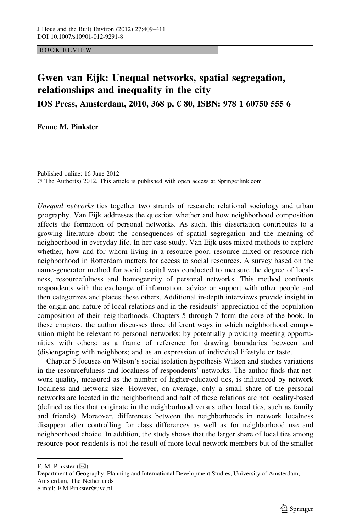BOOK REVIEW

## Gwen van Eijk: Unequal networks, spatial segregation, relationships and inequality in the city IOS Press, Amsterdam, 2010, 368 p, € 80, ISBN: 978 1 60750 555 6

Fenne M. Pinkster

Published online: 16 June 2012 © The Author(s) 2012. This article is published with open access at Springerlink.com

Unequal networks ties together two strands of research: relational sociology and urban geography. Van Eijk addresses the question whether and how neighborhood composition affects the formation of personal networks. As such, this dissertation contributes to a growing literature about the consequences of spatial segregation and the meaning of neighborhood in everyday life. In her case study, Van Eijk uses mixed methods to explore whether, how and for whom living in a resource-poor, resource-mixed or resource-rich neighborhood in Rotterdam matters for access to social resources. A survey based on the name-generator method for social capital was conducted to measure the degree of localness, resourcefulness and homogeneity of personal networks. This method confronts respondents with the exchange of information, advice or support with other people and then categorizes and places these others. Additional in-depth interviews provide insight in the origin and nature of local relations and in the residents' appreciation of the population composition of their neighborhoods. Chapters 5 through 7 form the core of the book. In these chapters, the author discusses three different ways in which neighborhood composition might be relevant to personal networks: by potentially providing meeting opportunities with others; as a frame of reference for drawing boundaries between and (dis)engaging with neighbors; and as an expression of individual lifestyle or taste.

Chapter 5 focuses on Wilson's social isolation hypothesis Wilson and studies variations in the resourcefulness and localness of respondents' networks. The author finds that network quality, measured as the number of higher-educated ties, is influenced by network localness and network size. However, on average, only a small share of the personal networks are located in the neighborhood and half of these relations are not locality-based (defined as ties that originate in the neighborhood versus other local ties, such as family and friends). Moreover, differences between the neighborhoods in network localness disappear after controlling for class differences as well as for neighborhood use and neighborhood choice. In addition, the study shows that the larger share of local ties among resource-poor residents is not the result of more local network members but of the smaller

F. M. Pinkster  $(\boxtimes)$ 

Department of Geography, Planning and International Development Studies, University of Amsterdam, Amsterdam, The Netherlands e-mail: F.M.Pinkster@uva.nl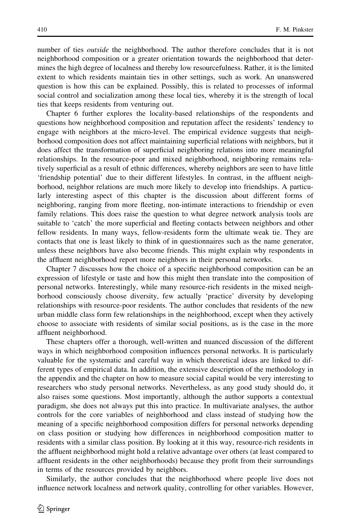number of ties *outside* the neighborhood. The author therefore concludes that it is not neighborhood composition or a greater orientation towards the neighborhood that determines the high degree of localness and thereby low resourcefulness. Rather, it is the limited extent to which residents maintain ties in other settings, such as work. An unanswered question is how this can be explained. Possibly, this is related to processes of informal social control and socialization among these local ties, whereby it is the strength of local ties that keeps residents from venturing out.

Chapter 6 further explores the locality-based relationships of the respondents and questions how neighborhood composition and reputation affect the residents' tendency to engage with neighbors at the micro-level. The empirical evidence suggests that neighborhood composition does not affect maintaining superficial relations with neighbors, but it does affect the transformation of superficial neighboring relations into more meaningful relationships. In the resource-poor and mixed neighborhood, neighboring remains relatively superficial as a result of ethnic differences, whereby neighbors are seen to have little 'friendship potential' due to their different lifestyles. In contrast, in the affluent neighborhood, neighbor relations are much more likely to develop into friendships. A particularly interesting aspect of this chapter is the discussion about different forms of neighboring, ranging from more fleeting, non-intimate interactions to friendship or even family relations. This does raise the question to what degree network analysis tools are suitable to 'catch' the more superficial and fleeting contacts between neighbors and other fellow residents. In many ways, fellow-residents form the ultimate weak tie. They are contacts that one is least likely to think of in questionnaires such as the name generator, unless these neighbors have also become friends. This might explain why respondents in the affluent neighborhood report more neighbors in their personal networks.

Chapter 7 discusses how the choice of a specific neighborhood composition can be an expression of lifestyle or taste and how this might then translate into the composition of personal networks. Interestingly, while many resource-rich residents in the mixed neighborhood consciously choose diversity, few actually 'practice' diversity by developing relationships with resource-poor residents. The author concludes that residents of the new urban middle class form few relationships in the neighborhood, except when they actively choose to associate with residents of similar social positions, as is the case in the more affluent neighborhood.

These chapters offer a thorough, well-written and nuanced discussion of the different ways in which neighborhood composition influences personal networks. It is particularly valuable for the systematic and careful way in which theoretical ideas are linked to different types of empirical data. In addition, the extensive description of the methodology in the appendix and the chapter on how to measure social capital would be very interesting to researchers who study personal networks. Nevertheless, as any good study should do, it also raises some questions. Most importantly, although the author supports a contextual paradigm, she does not always put this into practice. In multivariate analyses, the author controls for the core variables of neighborhood and class instead of studying how the meaning of a specific neighborhood composition differs for personal networks depending on class position or studying how differences in neighborhood composition matter to residents with a similar class position. By looking at it this way, resource-rich residents in the affluent neighborhood might hold a relative advantage over others (at least compared to affluent residents in the other neighborhoods) because they profit from their surroundings in terms of the resources provided by neighbors.

Similarly, the author concludes that the neighborhood where people live does not influence network localness and network quality, controlling for other variables. However,